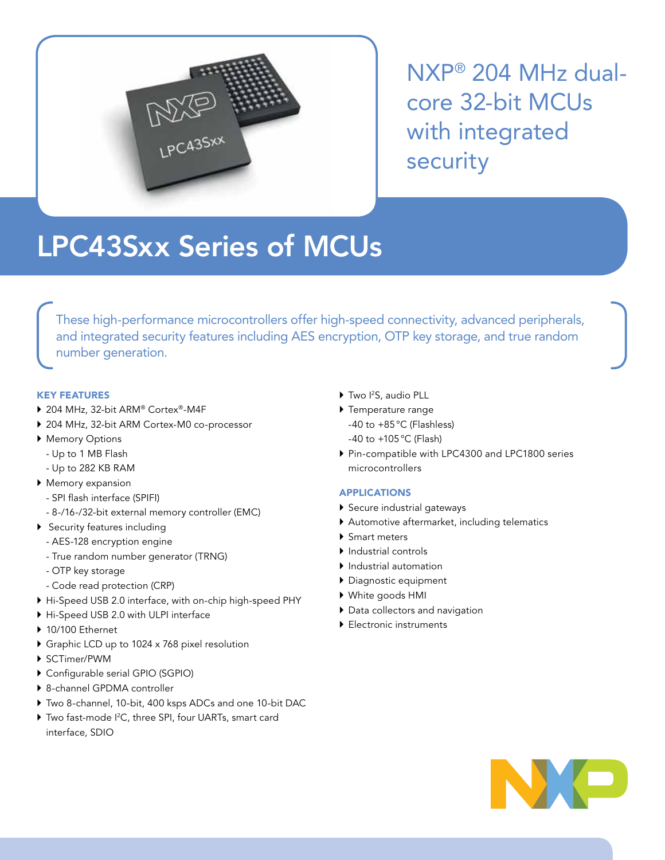

NXP® 204 MHz dualcore 32-bit MCUs with integrated security

# LPC43Sxx Series of MCUs

These high-performance microcontrollers offer high-speed connectivity, advanced peripherals, and integrated security features including AES encryption, OTP key storage, and true random number generation.

## KEY FEATURES

- ▶ 204 MHz, 32-bit ARM® Cortex®-M4F
- ▶ 204 MHz, 32-bit ARM Cortex-M0 co-processor
- **Memory Options** 
	- Up to 1 MB Flash
	- Up to 282 KB RAM
- $\blacktriangleright$  Memory expansion
	- SPI flash interface (SPIFI)
	- 8-/16-/32-bit external memory controller (EMC)
- Security features including
	- AES-128 encryption engine
	- True random number generator (TRNG)
	- OTP key storage
	- Code read protection (CRP)
- ` Hi-Speed USB 2.0 interface, with on-chip high-speed PHY
- ` Hi-Speed USB 2.0 with ULPI interface
- $\blacktriangleright$  10/100 Ethernet
- ▶ Graphic LCD up to 1024 x 768 pixel resolution
- ▶ SCTimer/PWM
- $\triangleright$  Configurable serial GPIO (SGPIO)
- ▶ 8-channel GPDMA controller
- Two 8-channel, 10-bit, 400 ksps ADCs and one 10-bit DAC
- ▶ Two fast-mode I<sup>2</sup>C, three SPI, four UARTs, smart card interface, SDIO
- ▶ Two I<sup>2</sup>S, audio PLL
- $\blacktriangleright$  Temperature range -40 to +85°C (Flashless) -40 to +105°C (Flash)
- ` Pin-compatible with LPC4300 and LPC1800 series microcontrollers

## APPLICATIONS

- Secure industrial gateways
- ` Automotive aftermarket, including telematics
- ▶ Smart meters
- ` Industrial controls
- $\blacktriangleright$  Industrial automation
- ` Diagnostic equipment
- ` White goods HMI
- $\blacktriangleright$  Data collectors and navigation
- **Electronic instruments**